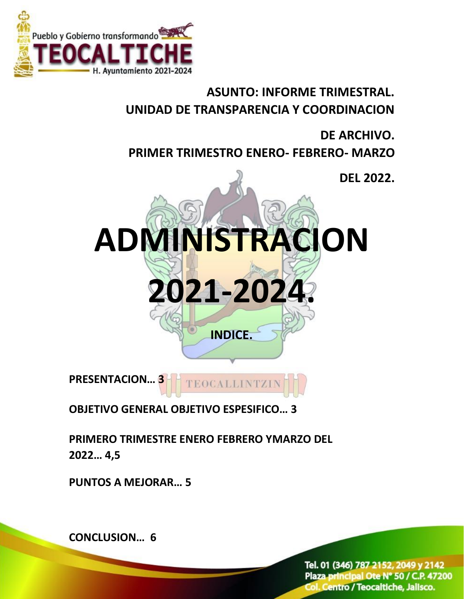

## **ASUNTO: INFORME TRIMESTRAL. UNIDAD DE TRANSPARENCIA Y COORDINACION**

## **DE ARCHIVO. PRIMER TRIMESTRO ENERO- FEBRERO- MARZO**



TEOCALLINTZI

**OBJETIVO GENERAL OBJETIVO ESPESIFICO… 3**

**PRIMERO TRIMESTRE ENERO FEBRERO YMARZO DEL 2022… 4,5**

**PUNTOS A MEJORAR… 5**

**CONCLUSION… 6**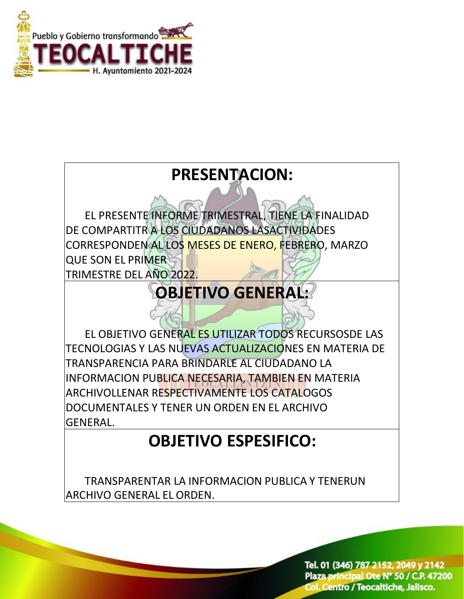

# **PRESENTACION:** EL PRESENTE INFORME TRIMESTRAL, TIENE LA FINALIDAD DE COMPARTITR A LOS CIUDADANOS LASACTIVIDADES CORRESPONDEN AL LOS MESES DE ENERO, FEBRERO, MARZO QUE SON EL PRIMER TRIMESTRE DEL AÑO 2022. **OBJETIVO GENERAL:** EL OBJETIVO GENERAL ES UTILIZAR TODOS RECURSOSDE LAS TECNOLOGIAS Y LAS NUEVAS ACTUALIZACIONES EN MATERIA DE TRANSPARENCIA PARA BRINDARLE AL CIUDADANO LA INFORMACION PUBLICA NECESARIA, TAMBIEN EN MATERIA ARCHIVOLLENAR RESPECTIVAMENTE LOS CATALOGOS DOCUMENTALES Y TENER UN ORDEN EN EL ARCHIVO GENERAL.

## **OBJETIVO ESPESIFICO:**

 TRANSPARENTAR LA INFORMACION PUBLICA Y TENERUN ARCHIVO GENERAL EL ORDEN.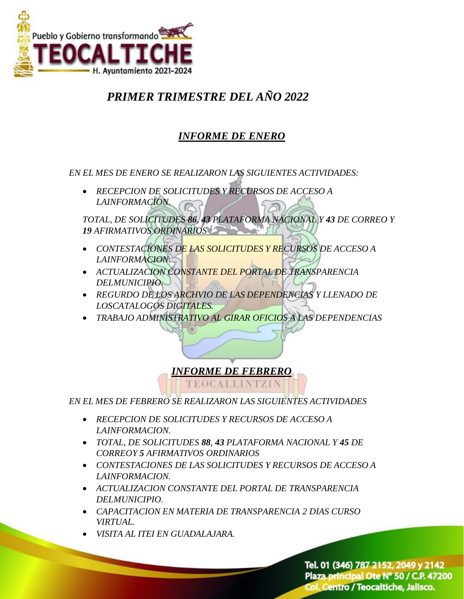

## *PRIMER TRIMESTRE DEL AÑO 2022*

### *INFORME DE ENERO*

*EN EL MES DE ENERO SE REALIZARON LAS SIGUIENTES ACTIVIDADES:*

 *RECEPCION DE SOLICITUDES Y RECURSOS DE ACCESO A LAINFORMACION.*

*TOTAL, DE SOLICITUDES 86, 43 PLATAFORMA NACIONAL Y 43 DE CORREO Y 19 AFIRMATIVOS ORDINARIOS*

- *CONTESTACIONES DE LAS SOLICITUDES Y RECURSOS DE ACCESO A LAINFORMACION.*
- *ACTUALIZACION CONSTANTE DEL PORTAL DE TRANSPARENCIA DELMUNICIPIO.*
- *REGURDO DE LOS ARCHVIO DE LAS DEPENDENCIAS Y LLENADO DE LOSCATALOGOS DIGITALES.*
- *TRABAJO ADMINISTRATIVO AL GIRAR OFICIOS A LAS DEPENDENCIAS*

#### *INFORME DE FEBRERO*

EOCALLINTZII

*EN EL MES DE FEBRERO SE REALIZARON LAS SIGUIENTES ACTIVIDADES*

- *RECEPCION DE SOLICITUDES Y RECURSOS DE ACCESO A LAINFORMACION.*
- *TOTAL, DE SOLICITUDES 88, 43 PLATAFORMA NACIONAL Y 45 DE CORREOY 5 AFIRMATIVOS ORDINARIOS*
- *CONTESTACIONES DE LAS SOLICITUDES Y RECURSOS DE ACCESO A LAINFORMACION.*
- *ACTUALIZACION CONSTANTE DEL PORTAL DE TRANSPARENCIA DELMUNICIPIO.*
- *CAPACITACION EN MATERIA DE TRANSPARENCIA 2 DIAS CURSO VIRTUAL.*
- *VISITA AL ITEI EN GUADALAJARA.*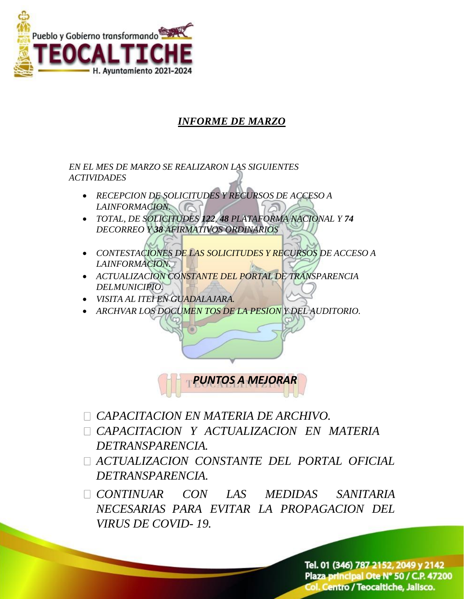

### *INFORME DE MARZO*

*EN EL MES DE MARZO SE REALIZARON LAS SIGUIENTES ACTIVIDADES*

- *RECEPCION DE SOLICITUDES Y RECURSOS DE ACCESO A LAINFORMACION.*
- *TOTAL, DE SOLICITUDES 122, 48 PLATAFORMA NACIONAL Y 74 DECORREO Y 38 AFIRMATIVOS ORDINARIOS*
- *CONTESTACIONES DE LAS SOLICITUDES Y RECURSOS DE ACCESO A LAINFORMACION.*
- *ACTUALIZACION CONSTANTE DEL PORTAL DE TRANSPARENCIA DELMUNICIPIO.*
- *VISITA AL ITEI EN GUADALAJARA.*
- *ARCHVAR LOS DOCUMEN TOS DE LA PESION Y DEL AUDITORIO.*



- *CAPACITACION EN MATERIA DE ARCHIVO.*
- *CAPACITACION Y ACTUALIZACION EN MATERIA DETRANSPARENCIA.*
- *ACTUALIZACION CONSTANTE DEL PORTAL OFICIAL DETRANSPARENCIA.*

*CONTINUAR CON LAS MEDIDAS SANITARIA NECESARIAS PARA EVITAR LA PROPAGACION DEL VIRUS DE COVID- 19.*